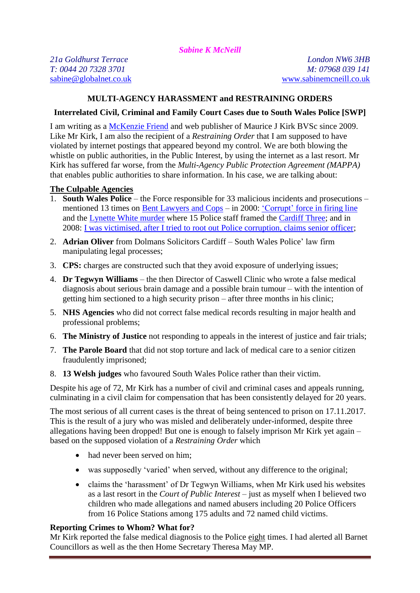*Sabine K McNeill*

# **MULTI-AGENCY HARASSMENT and RESTRAINING ORDERS**

## **Interrelated Civil, Criminal and Family Court Cases due to South Wales Police [SWP]**

I am writing as a [McKenzie Friend](http://mckenzie-friends.co.uk/) and web publisher of Maurice J Kirk BVSc since 2009. Like Mr Kirk, I am also the recipient of a *Restraining Order* that I am supposed to have violated by internet postings that appeared beyond my control. We are both blowing the whistle on public authorities, in the Public Interest, by using the internet as a last resort. Mr Kirk has suffered far worse, from the *Multi-Agency Public Protection Agreement (MAPPA)* that enables public authorities to share information. In his case, we are talking about:

### **The Culpable Agencies**

- 1. **South Wales Police** the Force responsible for 33 malicious incidents and prosecutions mentioned 13 times on [Bent Lawyers and Cops](http://bentlawyersandcops.com/featured_cops.htm) – in 2000: 'Corrupt' [force in firing line](https://www.theguardian.com/uk/2000/oct/15/ukcrime.wales) and the [Lynette White murder](https://en.wikipedia.org/wiki/Murder_of_Lynette_White) where 15 Police staff framed the [Cardiff Three;](https://www.theguardian.com/uk-news/2017/jul/18/trial-of-cardiff-three-police-collapsed-due-to-human-error-inquiry-finds) and in 2008: [I was victimised, after I tried to root out Police corruption, claims senior officer;](http://www.walesonline.co.uk/news/local-news/victimised-after-tried-root-out-2194236)
- 2. **Adrian Oliver** from Dolmans Solicitors Cardiff South Wales Police' law firm manipulating legal processes;
- 3. **CPS:** charges are constructed such that they avoid exposure of underlying issues;
- 4. **Dr Tegwyn Williams**  the then Director of Caswell Clinic who wrote a false medical diagnosis about serious brain damage and a possible brain tumour – with the intention of getting him sectioned to a high security prison – after three months in his clinic;
- 5. **NHS Agencies** who did not correct false medical records resulting in major health and professional problems;
- 6. **The Ministry of Justice** not responding to appeals in the interest of justice and fair trials;
- 7. **The Parole Board** that did not stop torture and lack of medical care to a senior citizen fraudulently imprisoned;
- 8. **13 Welsh judges** who favoured South Wales Police rather than their victim.

Despite his age of 72, Mr Kirk has a number of civil and criminal cases and appeals running, culminating in a civil claim for compensation that has been consistently delayed for 20 years.

The most serious of all current cases is the threat of being sentenced to prison on 17.11.2017. This is the result of a jury who was misled and deliberately under-informed, despite three allegations having been dropped! But one is enough to falsely imprison Mr Kirk yet again – based on the supposed violation of a *Restraining Order* which

- had never been served on him;
- was supposedly 'varied' when served, without any difference to the original;
- claims the 'harassment' of Dr Tegwyn Williams, when Mr Kirk used his websites as a last resort in the *Court of Public Interest* – just as myself when I believed two children who made allegations and named abusers including 20 Police Officers from 16 Police Stations among 175 adults and 72 named child victims.

## **Reporting Crimes to Whom? What for?**

Mr Kirk reported the false medical diagnosis to the Police eight times. I had alerted all Barnet Councillors as well as the then Home Secretary Theresa May MP.